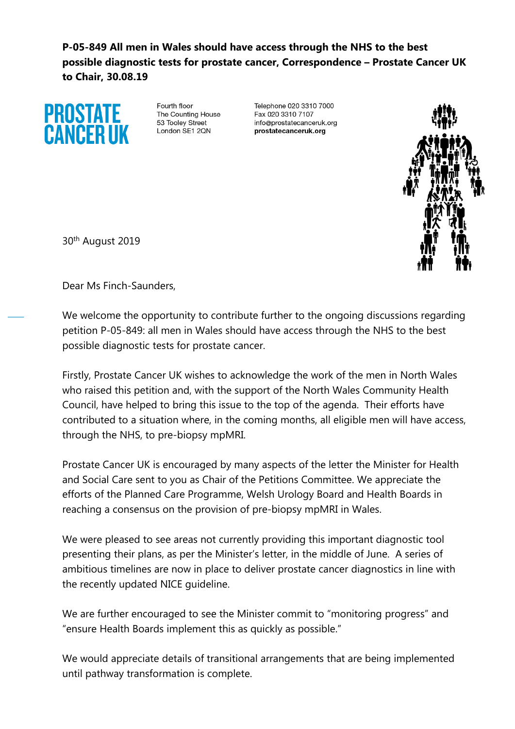**P-05-849 All men in Wales should have access through the NHS to the best possible diagnostic tests for prostate cancer, Correspondence – Prostate Cancer UK to Chair, 30.08.19**



Fourth floor The Counting House 53 Tooley Street London SF1 2ON

Telephone 020 3310 7000 Fax 020 3310 7107 info@prostatecanceruk.org prostatecanceruk.org



30th August 2019

Dear Ms Finch-Saunders,

We welcome the opportunity to contribute further to the ongoing discussions regarding petition P-05-849: all men in Wales should have access through the NHS to the best possible diagnostic tests for prostate cancer.

Firstly, Prostate Cancer UK wishes to acknowledge the work of the men in North Wales who raised this petition and, with the support of the North Wales Community Health Council, have helped to bring this issue to the top of the agenda. Their efforts have contributed to a situation where, in the coming months, all eligible men will have access, through the NHS, to pre-biopsy mpMRI.

Prostate Cancer UK is encouraged by many aspects of the letter the Minister for Health and Social Care sent to you as Chair of the Petitions Committee. We appreciate the efforts of the Planned Care Programme, Welsh Urology Board and Health Boards in reaching a consensus on the provision of pre-biopsy mpMRI in Wales.

We were pleased to see areas not currently providing this important diagnostic tool presenting their plans, as per the Minister's letter, in the middle of June. A series of ambitious timelines are now in place to deliver prostate cancer diagnostics in line with the recently updated NICE guideline.

We are further encouraged to see the Minister commit to "monitoring progress" and "ensure Health Boards implement this as quickly as possible."

We would appreciate details of transitional arrangements that are being implemented until pathway transformation is complete.